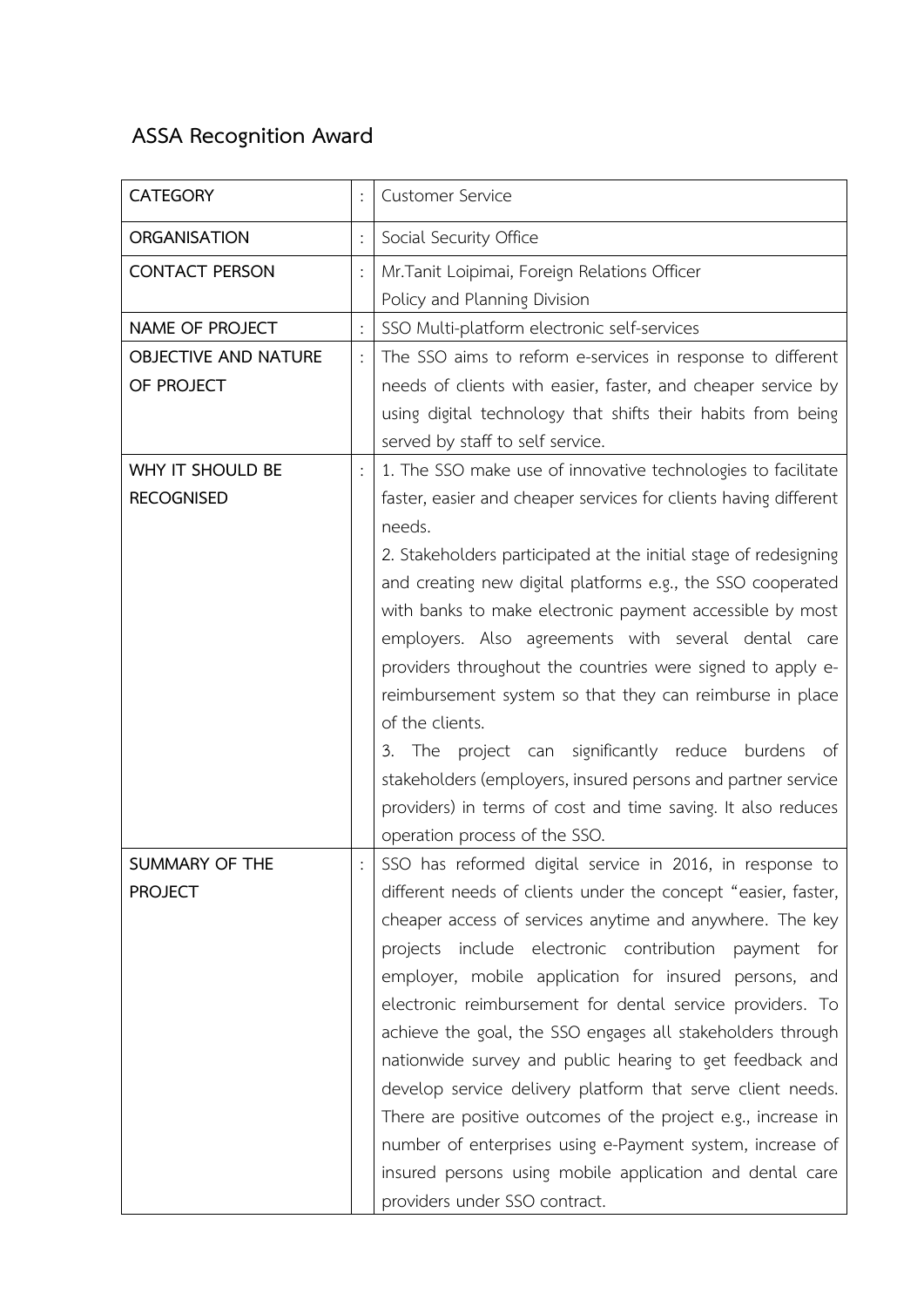## **ASSA Recognition Award**

| <b>CATEGORY</b>                       |                | <b>Customer Service</b>                                                                                                                                                                                                                                                                                                                                                                                                                                                                                                                                                                                                                                                                                                                                                               |
|---------------------------------------|----------------|---------------------------------------------------------------------------------------------------------------------------------------------------------------------------------------------------------------------------------------------------------------------------------------------------------------------------------------------------------------------------------------------------------------------------------------------------------------------------------------------------------------------------------------------------------------------------------------------------------------------------------------------------------------------------------------------------------------------------------------------------------------------------------------|
| <b>ORGANISATION</b>                   | $\ddot{\cdot}$ | Social Security Office                                                                                                                                                                                                                                                                                                                                                                                                                                                                                                                                                                                                                                                                                                                                                                |
| <b>CONTACT PERSON</b>                 |                | Mr. Tanit Loipimai, Foreign Relations Officer<br>Policy and Planning Division                                                                                                                                                                                                                                                                                                                                                                                                                                                                                                                                                                                                                                                                                                         |
| NAME OF PROJECT                       | $\ddot{\cdot}$ | SSO Multi-platform electronic self-services                                                                                                                                                                                                                                                                                                                                                                                                                                                                                                                                                                                                                                                                                                                                           |
| OBJECTIVE AND NATURE<br>OF PROJECT    |                | The SSO aims to reform e-services in response to different<br>needs of clients with easier, faster, and cheaper service by<br>using digital technology that shifts their habits from being<br>served by staff to self service.                                                                                                                                                                                                                                                                                                                                                                                                                                                                                                                                                        |
| WHY IT SHOULD BE<br><b>RECOGNISED</b> |                | 1. The SSO make use of innovative technologies to facilitate<br>faster, easier and cheaper services for clients having different<br>needs.<br>2. Stakeholders participated at the initial stage of redesigning<br>and creating new digital platforms e.g., the SSO cooperated<br>with banks to make electronic payment accessible by most<br>employers. Also agreements with several dental care<br>providers throughout the countries were signed to apply e-<br>reimbursement system so that they can reimburse in place<br>of the clients.<br>The project can significantly reduce burdens of<br>3.<br>stakeholders (employers, insured persons and partner service<br>providers) in terms of cost and time saving. It also reduces<br>operation process of the SSO.               |
| SUMMARY OF THE<br><b>PROJECT</b>      |                | SSO has reformed digital service in 2016, in response to<br>different needs of clients under the concept "easier, faster,<br>cheaper access of services anytime and anywhere. The key<br>projects include electronic contribution payment for<br>employer, mobile application for insured persons, and<br>electronic reimbursement for dental service providers. To<br>achieve the goal, the SSO engages all stakeholders through<br>nationwide survey and public hearing to get feedback and<br>develop service delivery platform that serve client needs.<br>There are positive outcomes of the project e.g., increase in<br>number of enterprises using e-Payment system, increase of<br>insured persons using mobile application and dental care<br>providers under SSO contract. |